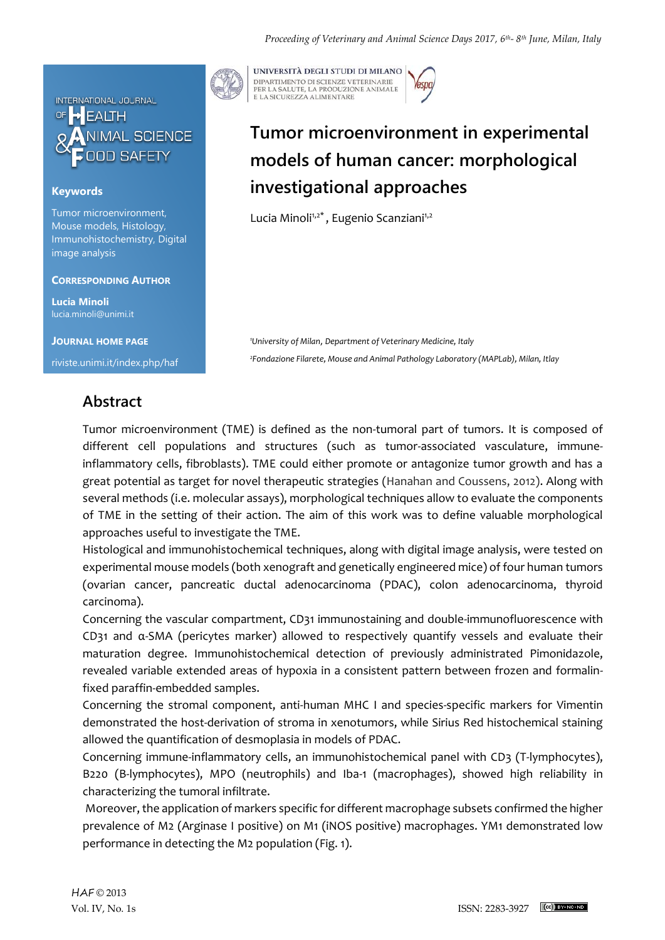

### **Keywords**

Tumor microenvironment, Mouse models, Histology, Immunohistochemistry, Digital image analysis

#### **CORRESPONDING AUTHOR**

**Lucia Minoli** lucia.minoli@unimi.it

**JOURNAL HOME PAGE**

riviste.unimi.it/index.php/haf

## **Abstract**



UNIVERSITÀ DEGLI STUDI DI MILANO DIPARTIMENTO DI SCIENZE VETERINARIE PER LA SALUTE, LA PRODUZIONE ANIMALE<br>E LA SICUREZZA ALIMENTARE

# **Tumor microenvironment in experimental models of human cancer: morphological investigational approaches**

Lucia Minoli<sup>1,2\*</sup>, Eugenio Scanziani<sup>1,2</sup>

*<sup>1</sup>University of Milan*, *Department of Veterinary Medicine, Italy <sup>2</sup>Fondazione Filarete, Mouse and Animal Pathology Laboratory (MAPLab), Milan, Itlay*

Tumor microenvironment (TME) is defined as the non-tumoral part of tumors. It is composed of different cell populations and structures (such as tumor-associated vasculature, immuneinflammatory cells, fibroblasts). TME could either promote or antagonize tumor growth and has a great potential as target for novel therapeutic strategies (Hanahan and Coussens, 2012). Along with several methods (i.e. molecular assays), morphological techniques allow to evaluate the components of TME in the setting of their action. The aim of this work was to define valuable morphological approaches useful to investigate the TME.

Histological and immunohistochemical techniques, along with digital image analysis, were tested on experimental mouse models (both xenograft and genetically engineered mice) of four human tumors (ovarian cancer, pancreatic ductal adenocarcinoma (PDAC), colon adenocarcinoma, thyroid carcinoma).

Concerning the vascular compartment, CD31 immunostaining and double-immunofluorescence with CD31 and α-SMA (pericytes marker) allowed to respectively quantify vessels and evaluate their maturation degree. Immunohistochemical detection of previously administrated Pimonidazole, revealed variable extended areas of hypoxia in a consistent pattern between frozen and formalinfixed paraffin-embedded samples.

Concerning the stromal component, anti-human MHC I and species-specific markers for Vimentin demonstrated the host-derivation of stroma in xenotumors, while Sirius Red histochemical staining allowed the quantification of desmoplasia in models of PDAC.

Concerning immune-inflammatory cells, an immunohistochemical panel with CD3 (T-lymphocytes), B220 (B-lymphocytes), MPO (neutrophils) and Iba-1 (macrophages), showed high reliability in characterizing the tumoral infiltrate.

Moreover, the application of markers specific for different macrophage subsets confirmed the higher prevalence of M2 (Arginase I positive) on M1 (iNOS positive) macrophages. YM1 demonstrated low performance in detecting the M2 population (Fig. 1).